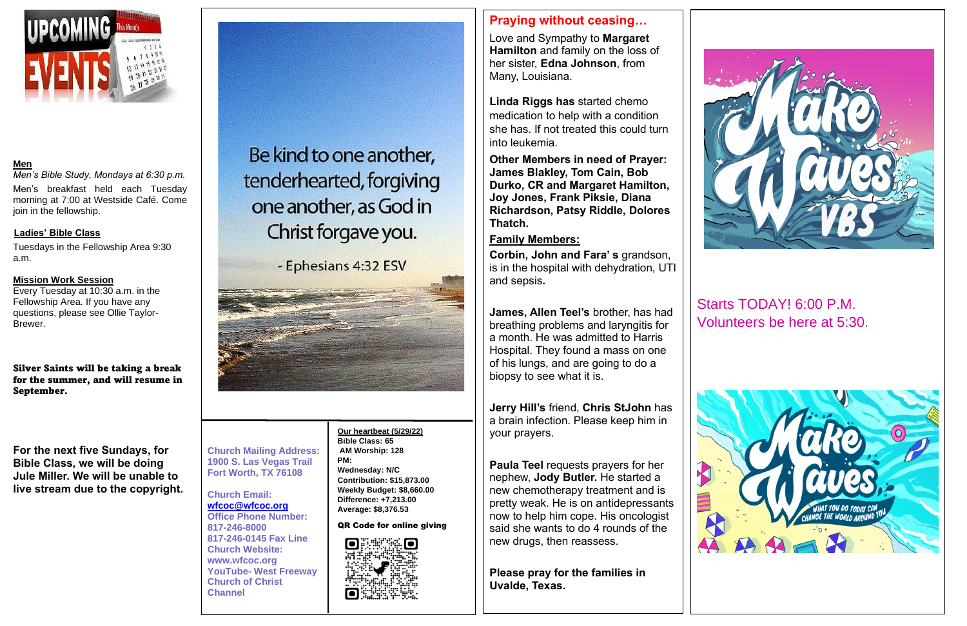

#### **Men**

*Men's Bible Study, Mondays at 6:30 p.m.* Men's breakfast held each Tuesday morning at 7:00 at Westside Café. Come join in the fellowship.

### **Ladies' Bible Class**

Tuesdays in the Fellowship Area 9:30 a.m.

### **Mission Work Session**

Every Tuesday at 10:30 a.m. in the Fellowship Area. If you have any questions, please see Ollie Taylor-Brewer.

Silver Saints will be taking a break for the summer, and will resume in September.

**For the next five Sundays, for Bible Class, we will be doing Jule Miller. We will be unable to live stream due to the copyright.**

Be kind to one another, tenderhearted, forgiving one another, as God in Christ forgave you.

- Ephesians 4:32 ESV



**Church Mailing Address: 1900 S. Las Vegas Trail Fort Worth, TX 76108**

**Church Email: [wfcoc@wfcoc.org](mailto:wfcoc@wfcoc.org) Office Phone Number: 817-246-8000 817-246-0145 Fax Line Church Website: www.wfcoc.org YouTube- West Freeway Church of Christ Channel**

# **Praying without ceasing…**

Love and Sympathy to **Margaret Hamilton** and family on the loss of her sister, **Edna Johnson**, from Many, Louisiana.

**Linda Riggs has** started chemo medication to help with a condition she has. If not treated this could turn into leukemia.

**Other Members in need of Prayer: James Blakley, Tom Cain, Bob Durko, CR and Margaret Hamilton, Joy Jones, Frank Piksie, Diana Richardson, Patsy Riddle, Dolores Thatch.** 

### **Family Members:**

**Corbin, John and Fara' s** grandson, is in the hospital with dehydration, UTI and sepsis**.**

**James, Allen Teel's** brother, has had breathing problems and laryngitis for a month. He was admitted to Harris Hospital. They found a mass on one of his lungs, and are going to do a biopsy to see what it is.

**Jerry Hill's** friend, **Chris StJohn** has a brain infection. Please keep him in your prayers.

**Paula Teel** requests prayers for her nephew, **Jody Butler.** He started a new chemotherapy treatment and is pretty weak. He is on antidepressants now to help him cope. His oncologist said she wants to do 4 rounds of the new drugs, then reassess.

**Please pray for the families in Uvalde, Texas.** 



Starts TODAY! 6:00 P.M. Volunteers be here at 5:30.



**Our heartbeat (5/29/22) Bible Class: 65 AM Worship: 128 PM: Wednesday: N/C Contribution: \$15,873.00 Weekly Budget: \$8,660.00 Difference: +7,213.00 Average: \$8,376.53** 

QR Code for online giving